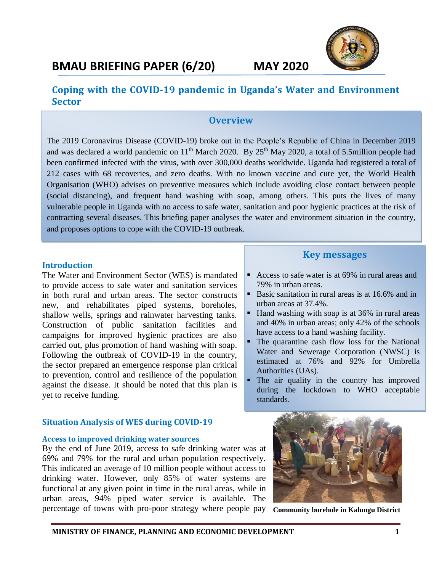

## **Coping with the COVID-19 pandemic in Uganda's Water and Environment Sector**

## **Overview**

The 2019 Coronavirus Disease (COVID-19) broke out in the People's Republic of China in December 2019 and was declared a world pandemic on  $11<sup>th</sup>$  March 2020. By 25<sup>th</sup> May 2020, a total of 5.5million people had been confirmed infected with the virus, with over 300,000 deaths worldwide. Uganda had registered a total of 212 cases with 68 recoveries, and zero deaths. With no known vaccine and cure yet, the World Health Organisation (WHO) advises on preventive measures which include avoiding close contact between people (social distancing), and frequent hand washing with soap, among others. This puts the lives of many vulnerable people in Uganda with no access to safe water, sanitation and poor hygienic practices at the risk of contracting several diseases. This briefing paper analyses the water and environment situation in the country, and proposes options to cope with the COVID-19 outbreak.

#### **Introduction**

The Water and Environment Sector (WES) is mandated to provide access to safe water and sanitation services in both rural and urban areas. The sector constructs new, and rehabilitates piped systems, boreholes, shallow wells, springs and rainwater harvesting tanks. Construction of public sanitation facilities and campaigns for improved hygienic practices are also carried out, plus promotion of hand washing with soap. Following the outbreak of COVID-19 in the country, the sector prepared an emergence response plan critical to prevention, control and resilience of the population against the disease. It should be noted that this plan is yet to receive funding.

### **Situation Analysis of WES during COVID-19**

#### **Access to improved drinking water sources**

By the end of June 2019, access to safe drinking water was at 69% and 79% for the rural and urban population respectively. This indicated an average of 10 million people without access to drinking water. However, only 85% of water systems are functional at any given point in time in the rural areas, while in urban areas, 94% piped water service is available. The percentage of towns with pro-poor strategy where people pay

## **Key messages**

- Access to safe water is at 69% in rural areas and 79% in urban areas.
- Basic sanitation in rural areas is at 16.6% and in urban areas at 37.4%.
- Hand washing with soap is at 36% in rural areas and 40% in urban areas; only 42% of the schools have access to a hand washing facility.
- The quarantine cash flow loss for the National Water and Sewerage Corporation (NWSC) is estimated at 76% and 92% for Umbrella Authorities (UAs).
- The air quality in the country has improved during the lockdown to WHO acceptable standards.



**Community borehole in Kalungu District**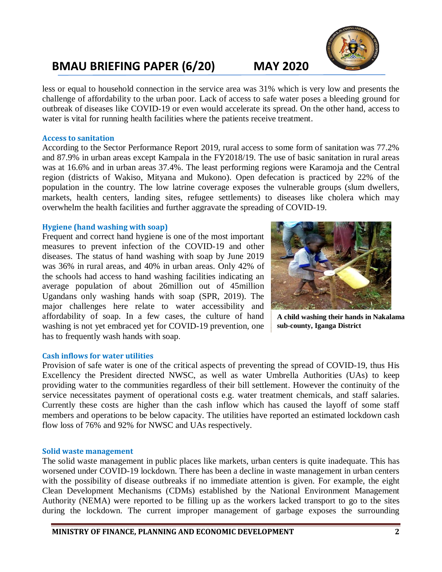# **BMAU BRIEFING PAPER (6/20) MAY 2020**

less or equal to household connection in the service area was 31% which is very low and presents the challenge of affordability to the urban poor. Lack of access to safe water poses a bleeding ground for outbreak of diseases like COVID-19 or even would accelerate its spread. On the other hand, access to water is vital for running health facilities where the patients receive treatment.

#### **Access to sanitation**

According to the Sector Performance Report 2019, rural access to some form of sanitation was 77.2% and 87.9% in urban areas except Kampala in the FY2018/19. The use of basic sanitation in rural areas was at 16.6% and in urban areas 37.4%. The least performing regions were Karamoja and the Central region (districts of Wakiso, Mityana and Mukono). Open defecation is practiced by 22% of the population in the country. The low latrine coverage exposes the vulnerable groups (slum dwellers, markets, health centers, landing sites, refugee settlements) to diseases like cholera which may overwhelm the health facilities and further aggravate the spreading of COVID-19.

#### **Hygiene (hand washing with soap)**

Frequent and correct hand hygiene is one of the most important measures to prevent infection of the COVID-19 and other diseases. The status of hand washing with soap by June 2019 was 36% in rural areas, and 40% in urban areas. Only 42% of the schools had access to hand washing facilities indicating an average population of about 26million out of 45million Ugandans only washing hands with soap (SPR, 2019). The major challenges here relate to water accessibility and affordability of soap. In a few cases, the culture of hand washing is not yet embraced yet for COVID-19 prevention, one has to frequently wash hands with soap.

**A child washing their hands in Nakalama sub-county, Iganga District**

### **Cash inflows for water utilities**

Provision of safe water is one of the critical aspects of preventing the spread of COVID-19, thus His Excellency the President directed NWSC, as well as water Umbrella Authorities (UAs) to keep providing water to the communities regardless of their bill settlement. However the continuity of the service necessitates payment of operational costs e.g. water treatment chemicals, and staff salaries. Currently these costs are higher than the cash inflow which has caused the layoff of some staff members and operations to be below capacity. The utilities have reported an estimated lockdown cash flow loss of 76% and 92% for NWSC and UAs respectively.

#### **Solid waste management**

The solid waste management in public places like markets, urban centers is quite inadequate. This has worsened under COVID-19 lockdown. There has been a decline in waste management in urban centers with the possibility of disease outbreaks if no immediate attention is given. For example, the eight Clean Development Mechanisms (CDMs) established by the National Environment Management Authority (NEMA) were reported to be filling up as the workers lacked transport to go to the sites during the lockdown. The current improper management of garbage exposes the surrounding

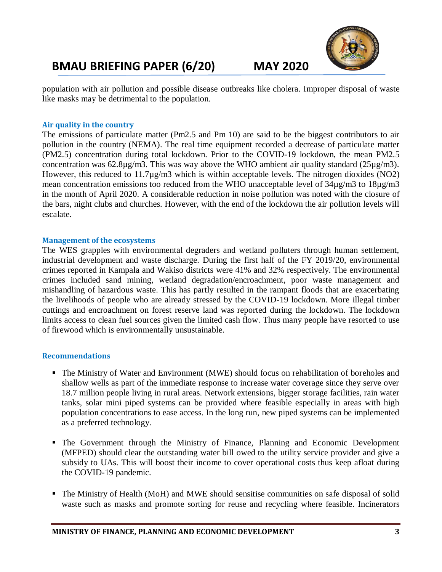# **BMAU BRIEFING PAPER (6/20) MAY 2020**



population with air pollution and possible disease outbreaks like cholera. Improper disposal of waste like masks may be detrimental to the population.

### **Air quality in the country**

The emissions of particulate matter (Pm2.5 and Pm 10) are said to be the biggest contributors to air pollution in the country (NEMA). The real time equipment recorded a decrease of particulate matter (PM2.5) concentration during total lockdown. Prior to the COVID-19 lockdown, the mean PM2.5 concentration was 62.8µg/m3. This was way above the WHO ambient air quality standard (25µg/m3). However, this reduced to 11.7µg/m3 which is within acceptable levels. The nitrogen dioxides (NO2) mean concentration emissions too reduced from the WHO unacceptable level of 34µg/m3 to 18µg/m3 in the month of April 2020. A considerable reduction in noise pollution was noted with the closure of the bars, night clubs and churches. However, with the end of the lockdown the air pollution levels will escalate.

### **Management of the ecosystems**

The WES grapples with environmental degraders and wetland polluters through human settlement, industrial development and waste discharge. During the first half of the FY 2019/20, environmental crimes reported in Kampala and Wakiso districts were 41% and 32% respectively. The environmental crimes included sand mining, wetland degradation/encroachment, poor waste management and mishandling of hazardous waste. This has partly resulted in the rampant floods that are exacerbating the livelihoods of people who are already stressed by the COVID-19 lockdown. More illegal timber cuttings and encroachment on forest reserve land was reported during the lockdown. The lockdown limits access to clean fuel sources given the limited cash flow. Thus many people have resorted to use of firewood which is environmentally unsustainable.

### **Recommendations**

- The Ministry of Water and Environment (MWE) should focus on rehabilitation of boreholes and shallow wells as part of the immediate response to increase water coverage since they serve over 18.7 million people living in rural areas. Network extensions, bigger storage facilities, rain water tanks, solar mini piped systems can be provided where feasible especially in areas with high population concentrations to ease access. In the long run, new piped systems can be implemented as a preferred technology.
- The Government through the Ministry of Finance, Planning and Economic Development (MFPED) should clear the outstanding water bill owed to the utility service provider and give a subsidy to UAs. This will boost their income to cover operational costs thus keep afloat during the COVID-19 pandemic.
- The Ministry of Health (MoH) and MWE should sensitise communities on safe disposal of solid waste such as masks and promote sorting for reuse and recycling where feasible. Incinerators